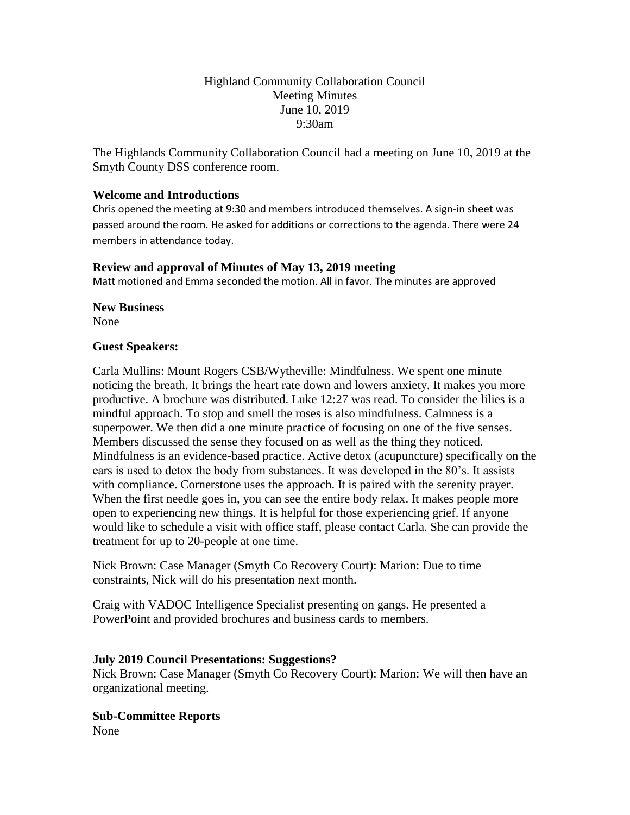# Highland Community Collaboration Council Meeting Minutes June 10, 2019 9:30am

The Highlands Community Collaboration Council had a meeting on June 10, 2019 at the Smyth County DSS conference room.

## **Welcome and Introductions**

Chris opened the meeting at 9:30 and members introduced themselves. A sign-in sheet was passed around the room. He asked for additions or corrections to the agenda. There were 24 members in attendance today.

## **Review and approval of Minutes of May 13, 2019 meeting**

Matt motioned and Emma seconded the motion. All in favor. The minutes are approved

#### **New Business**

None

#### **Guest Speakers:**

Carla Mullins: Mount Rogers CSB/Wytheville: Mindfulness. We spent one minute noticing the breath. It brings the heart rate down and lowers anxiety. It makes you more productive. A brochure was distributed. Luke 12:27 was read. To consider the lilies is a mindful approach. To stop and smell the roses is also mindfulness. Calmness is a superpower. We then did a one minute practice of focusing on one of the five senses. Members discussed the sense they focused on as well as the thing they noticed. Mindfulness is an evidence-based practice. Active detox (acupuncture) specifically on the ears is used to detox the body from substances. It was developed in the 80's. It assists with compliance. Cornerstone uses the approach. It is paired with the serenity prayer. When the first needle goes in, you can see the entire body relax. It makes people more open to experiencing new things. It is helpful for those experiencing grief. If anyone would like to schedule a visit with office staff, please contact Carla. She can provide the treatment for up to 20-people at one time.

Nick Brown: Case Manager (Smyth Co Recovery Court): Marion: Due to time constraints, Nick will do his presentation next month.

Craig with VADOC Intelligence Specialist presenting on gangs. He presented a PowerPoint and provided brochures and business cards to members.

## **July 2019 Council Presentations: Suggestions?**

Nick Brown: Case Manager (Smyth Co Recovery Court): Marion: We will then have an organizational meeting.

**Sub-Committee Reports** None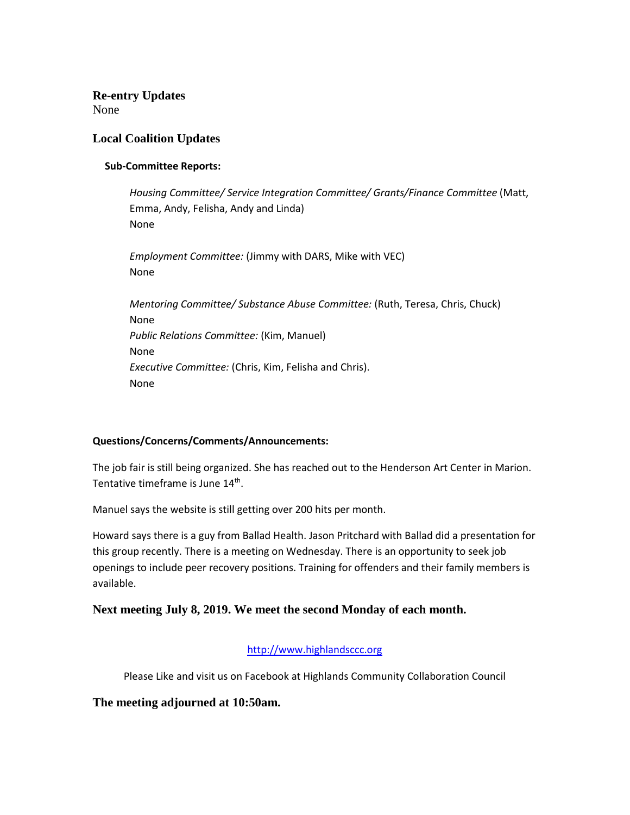**Re-entry Updates** None

## **Local Coalition Updates**

#### **Sub-Committee Reports:**

*Housing Committee/ Service Integration Committee/ Grants/Finance Committee* (Matt, Emma, Andy, Felisha, Andy and Linda) None

*Employment Committee:* (Jimmy with DARS, Mike with VEC) None

*Mentoring Committee/ Substance Abuse Committee:* (Ruth, Teresa, Chris, Chuck) None *Public Relations Committee:* (Kim, Manuel) None *Executive Committee:* (Chris, Kim, Felisha and Chris). None

#### **Questions/Concerns/Comments/Announcements:**

The job fair is still being organized. She has reached out to the Henderson Art Center in Marion. Tentative timeframe is June 14<sup>th</sup>.

Manuel says the website is still getting over 200 hits per month.

Howard says there is a guy from Ballad Health. Jason Pritchard with Ballad did a presentation for this group recently. There is a meeting on Wednesday. There is an opportunity to seek job openings to include peer recovery positions. Training for offenders and their family members is available.

## **Next meeting July 8, 2019. We meet the second Monday of each month.**

#### [http://www.highlandsccc.org](http://www.highlandsccc.org/)

Please Like and visit us on Facebook at Highlands Community Collaboration Council

**The meeting adjourned at 10:50am.**